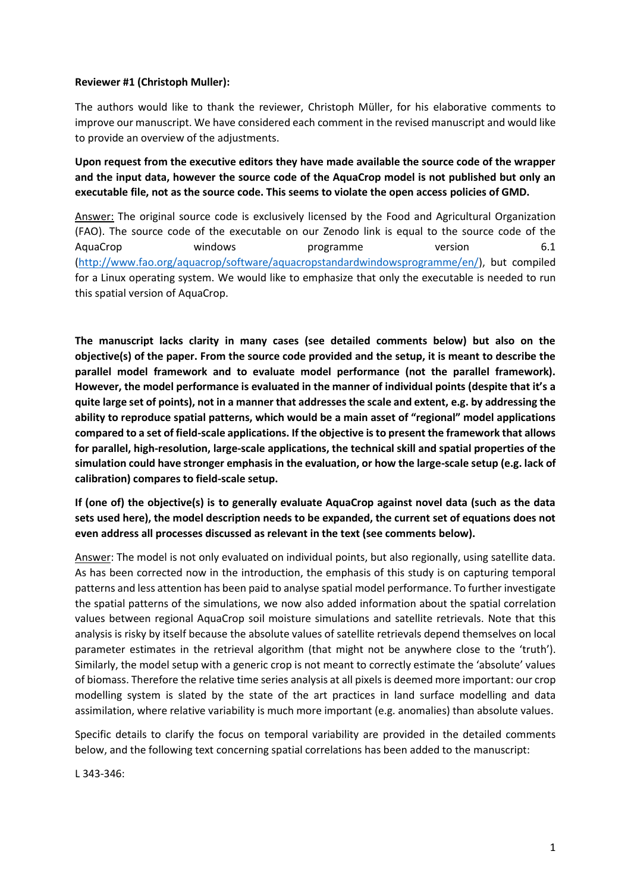#### **Reviewer #1 (Christoph Muller):**

The authors would like to thank the reviewer, Christoph Müller, for his elaborative comments to improve our manuscript. We have considered each comment in the revised manuscript and would like to provide an overview of the adjustments.

**Upon request from the executive editors they have made available the source code of the wrapper and the input data, however the source code of the AquaCrop model is not published but only an executable file, not as the source code. This seems to violate the open access policies of GMD.**

Answer: The original source code is exclusively licensed by the Food and Agricultural Organization (FAO). The source code of the executable on our Zenodo link is equal to the source code of the AquaCrop windows programme version 6.1 [\(http://www.fao.org/aquacrop/software/aquacropstandardwindowsprogramme/en/\)](http://www.fao.org/aquacrop/software/aquacropstandardwindowsprogramme/en/), but compiled for a Linux operating system. We would like to emphasize that only the executable is needed to run this spatial version of AquaCrop.

**The manuscript lacks clarity in many cases (see detailed comments below) but also on the objective(s) of the paper. From the source code provided and the setup, it is meant to describe the parallel model framework and to evaluate model performance (not the parallel framework). However, the model performance is evaluated in the manner of individual points (despite that it's a quite large set of points), not in a manner that addresses the scale and extent, e.g. by addressing the ability to reproduce spatial patterns, which would be a main asset of "regional" model applications compared to a set of field-scale applications. If the objective is to present the framework that allows for parallel, high-resolution, large-scale applications, the technical skill and spatial properties of the simulation could have stronger emphasis in the evaluation, or how the large-scale setup (e.g. lack of calibration) compares to field-scale setup.**

**If (one of) the objective(s) is to generally evaluate AquaCrop against novel data (such as the data sets used here), the model description needs to be expanded, the current set of equations does not even address all processes discussed as relevant in the text (see comments below).**

Answer: The model is not only evaluated on individual points, but also regionally, using satellite data. As has been corrected now in the introduction, the emphasis of this study is on capturing temporal patterns and less attention has been paid to analyse spatial model performance. To further investigate the spatial patterns of the simulations, we now also added information about the spatial correlation values between regional AquaCrop soil moisture simulations and satellite retrievals. Note that this analysis is risky by itself because the absolute values of satellite retrievals depend themselves on local parameter estimates in the retrieval algorithm (that might not be anywhere close to the 'truth'). Similarly, the model setup with a generic crop is not meant to correctly estimate the 'absolute' values of biomass. Therefore the relative time series analysis at all pixels is deemed more important: our crop modelling system is slated by the state of the art practices in land surface modelling and data assimilation, where relative variability is much more important (e.g. anomalies) than absolute values.

Specific details to clarify the focus on temporal variability are provided in the detailed comments below, and the following text concerning spatial correlations has been added to the manuscript:

L 343-346: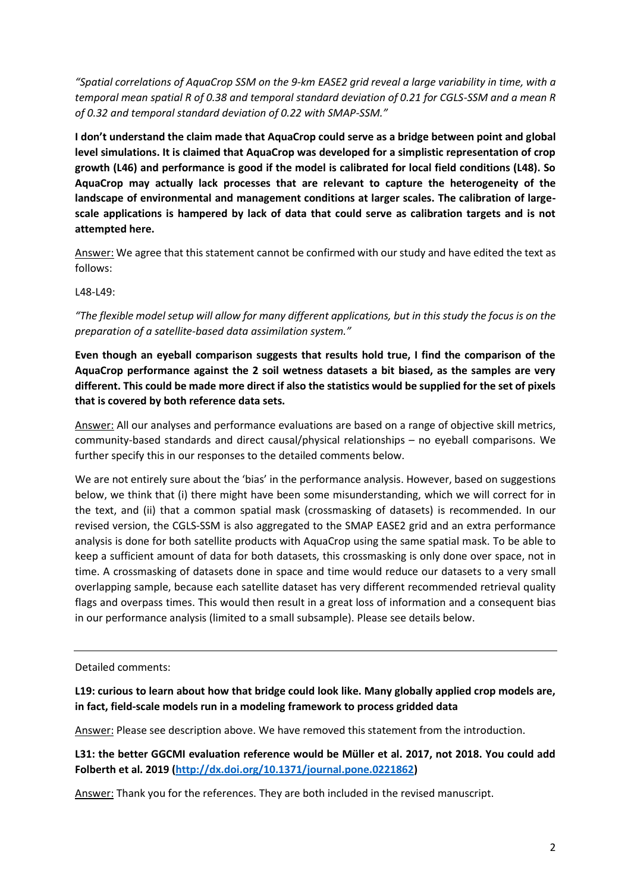*"Spatial correlations of AquaCrop SSM on the 9-km EASE2 grid reveal a large variability in time, with a temporal mean spatial R of 0.38 and temporal standard deviation of 0.21 for CGLS-SSM and a mean R of 0.32 and temporal standard deviation of 0.22 with SMAP-SSM."*

**I don't understand the claim made that AquaCrop could serve as a bridge between point and global level simulations. It is claimed that AquaCrop was developed for a simplistic representation of crop growth (L46) and performance is good if the model is calibrated for local field conditions (L48). So AquaCrop may actually lack processes that are relevant to capture the heterogeneity of the landscape of environmental and management conditions at larger scales. The calibration of largescale applications is hampered by lack of data that could serve as calibration targets and is not attempted here.**

Answer: We agree that this statement cannot be confirmed with our study and have edited the text as follows:

L48-L49:

*"The flexible model setup will allow for many different applications, but in this study the focus is on the preparation of a satellite-based data assimilation system."*

**Even though an eyeball comparison suggests that results hold true, I find the comparison of the AquaCrop performance against the 2 soil wetness datasets a bit biased, as the samples are very different. This could be made more direct if also the statistics would be supplied for the set of pixels that is covered by both reference data sets.**

Answer: All our analyses and performance evaluations are based on a range of objective skill metrics, community-based standards and direct causal/physical relationships – no eyeball comparisons. We further specify this in our responses to the detailed comments below.

We are not entirely sure about the 'bias' in the performance analysis. However, based on suggestions below, we think that (i) there might have been some misunderstanding, which we will correct for in the text, and (ii) that a common spatial mask (crossmasking of datasets) is recommended. In our revised version, the CGLS-SSM is also aggregated to the SMAP EASE2 grid and an extra performance analysis is done for both satellite products with AquaCrop using the same spatial mask. To be able to keep a sufficient amount of data for both datasets, this crossmasking is only done over space, not in time. A crossmasking of datasets done in space and time would reduce our datasets to a very small overlapping sample, because each satellite dataset has very different recommended retrieval quality flags and overpass times. This would then result in a great loss of information and a consequent bias in our performance analysis (limited to a small subsample). Please see details below.

Detailed comments:

**L19: curious to learn about how that bridge could look like. Many globally applied crop models are, in fact, field-scale models run in a modeling framework to process gridded data**

Answer: Please see description above. We have removed this statement from the introduction.

**L31: the better GGCMI evaluation reference would be Müller et al. 2017, not 2018. You could add Folberth et al. 2019 [\(http://dx.doi.org/10.1371/journal.pone.0221862\)](http://dx.doi.org/10.1371/journal.pone.0221862)**

Answer: Thank you for the references. They are both included in the revised manuscript.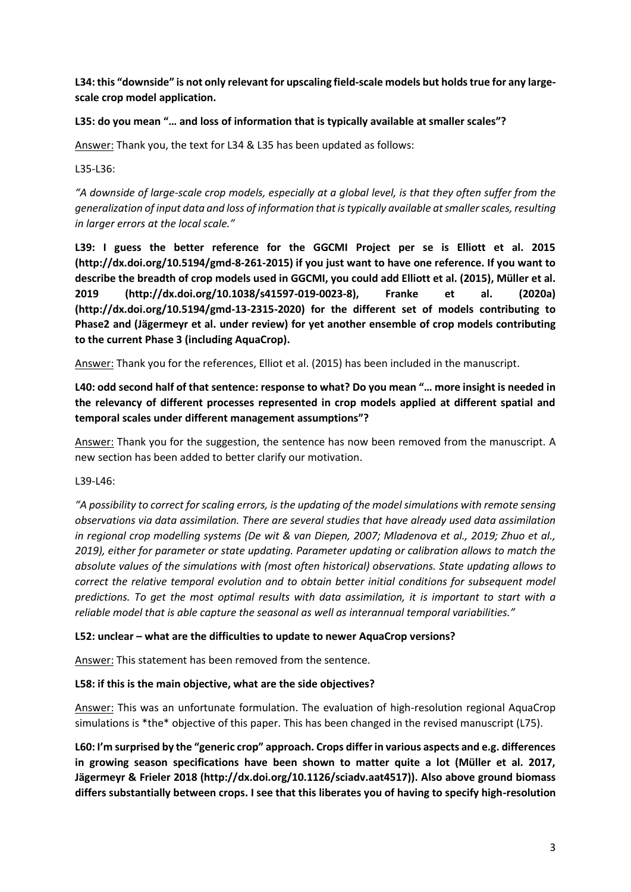**L34: this "downside" is not only relevant for upscaling field-scale models but holds true for any largescale crop model application.**

## **L35: do you mean "… and loss of information that is typically available at smaller scales"?**

Answer: Thank you, the text for L34 & L35 has been updated as follows:

L35-L36:

*"A downside of large-scale crop models, especially at a global level, is that they often suffer from the generalization of input data and loss of information that is typically available at smaller scales, resulting in larger errors at the local scale."*

**L39: I guess the better reference for the GGCMI Project per se is Elliott et al. 2015 (http://dx.doi.org/10.5194/gmd-8-261-2015) if you just want to have one reference. If you want to describe the breadth of crop models used in GGCMI, you could add Elliott et al. (2015), Müller et al. 2019 (http://dx.doi.org/10.1038/s41597-019-0023-8), Franke et al. (2020a) (http://dx.doi.org/10.5194/gmd-13-2315-2020) for the different set of models contributing to Phase2 and (Jägermeyr et al. under review) for yet another ensemble of crop models contributing to the current Phase 3 (including AquaCrop).**

Answer: Thank you for the references, Elliot et al. (2015) has been included in the manuscript.

**L40: odd second half of that sentence: response to what? Do you mean "… more insight is needed in the relevancy of different processes represented in crop models applied at different spatial and temporal scales under different management assumptions"?**

Answer: Thank you for the suggestion, the sentence has now been removed from the manuscript. A new section has been added to better clarify our motivation.

L39-L46:

*"A possibility to correct for scaling errors, is the updating of the model simulations with remote sensing observations via data assimilation. There are several studies that have already used data assimilation in regional crop modelling systems (De wit & van Diepen, 2007; Mladenova et al., 2019; Zhuo et al., 2019), either for parameter or state updating. Parameter updating or calibration allows to match the absolute values of the simulations with (most often historical) observations. State updating allows to correct the relative temporal evolution and to obtain better initial conditions for subsequent model predictions. To get the most optimal results with data assimilation, it is important to start with a reliable model that is able capture the seasonal as well as interannual temporal variabilities."*

## **L52: unclear – what are the difficulties to update to newer AquaCrop versions?**

Answer: This statement has been removed from the sentence.

## **L58: if this is the main objective, what are the side objectives?**

Answer: This was an unfortunate formulation. The evaluation of high-resolution regional AquaCrop simulations is \*the\* objective of this paper. This has been changed in the revised manuscript (L75).

**L60: I'm surprised by the "generic crop" approach. Crops differ in various aspects and e.g. differences in growing season specifications have been shown to matter quite a lot (Müller et al. 2017, Jägermeyr & Frieler 2018 (http://dx.doi.org/10.1126/sciadv.aat4517)). Also above ground biomass differs substantially between crops. I see that this liberates you of having to specify high-resolution**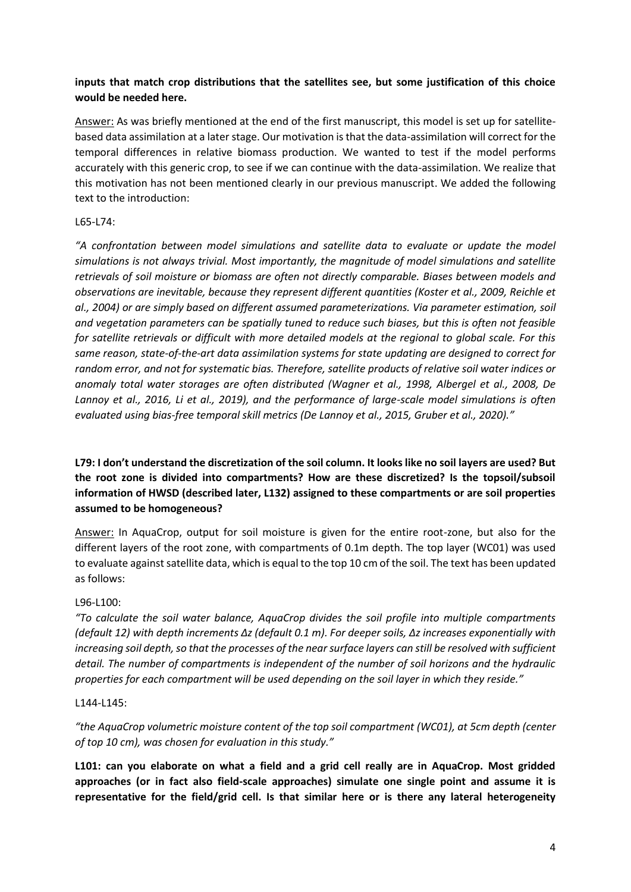# **inputs that match crop distributions that the satellites see, but some justification of this choice would be needed here.**

Answer: As was briefly mentioned at the end of the first manuscript, this model is set up for satellitebased data assimilation at a later stage. Our motivation is that the data-assimilation will correct for the temporal differences in relative biomass production. We wanted to test if the model performs accurately with this generic crop, to see if we can continue with the data-assimilation. We realize that this motivation has not been mentioned clearly in our previous manuscript. We added the following text to the introduction:

#### L65-L74:

*"A confrontation between model simulations and satellite data to evaluate or update the model simulations is not always trivial. Most importantly, the magnitude of model simulations and satellite retrievals of soil moisture or biomass are often not directly comparable. Biases between models and observations are inevitable, because they represent different quantities (Koster et al., 2009, Reichle et al., 2004) or are simply based on different assumed parameterizations. Via parameter estimation, soil and vegetation parameters can be spatially tuned to reduce such biases, but this is often not feasible for satellite retrievals or difficult with more detailed models at the regional to global scale. For this same reason, state-of-the-art data assimilation systems for state updating are designed to correct for random error, and not for systematic bias. Therefore, satellite products of relative soil water indices or anomaly total water storages are often distributed (Wagner et al., 1998, Albergel et al., 2008, De Lannoy et al., 2016, Li et al., 2019), and the performance of large-scale model simulations is often evaluated using bias-free temporal skill metrics (De Lannoy et al., 2015, Gruber et al., 2020)."*

**L79: I don't understand the discretization of the soil column. It looks like no soil layers are used? But the root zone is divided into compartments? How are these discretized? Is the topsoil/subsoil information of HWSD (described later, L132) assigned to these compartments or are soil properties assumed to be homogeneous?**

Answer: In AquaCrop, output for soil moisture is given for the entire root-zone, but also for the different layers of the root zone, with compartments of 0.1m depth. The top layer (WC01) was used to evaluate against satellite data, which is equal to the top 10 cm of the soil. The text has been updated as follows:

## L96-L100:

*"To calculate the soil water balance, AquaCrop divides the soil profile into multiple compartments (default 12) with depth increments ∆z (default 0.1 m). For deeper soils, ∆z increases exponentially with increasing soil depth, so that the processes of the near surface layers can still be resolved with sufficient detail. The number of compartments is independent of the number of soil horizons and the hydraulic properties for each compartment will be used depending on the soil layer in which they reside."*

#### L144-L145:

*"the AquaCrop volumetric moisture content of the top soil compartment (WC01), at 5cm depth (center of top 10 cm), was chosen for evaluation in this study."*

**L101: can you elaborate on what a field and a grid cell really are in AquaCrop. Most gridded approaches (or in fact also field-scale approaches) simulate one single point and assume it is representative for the field/grid cell. Is that similar here or is there any lateral heterogeneity**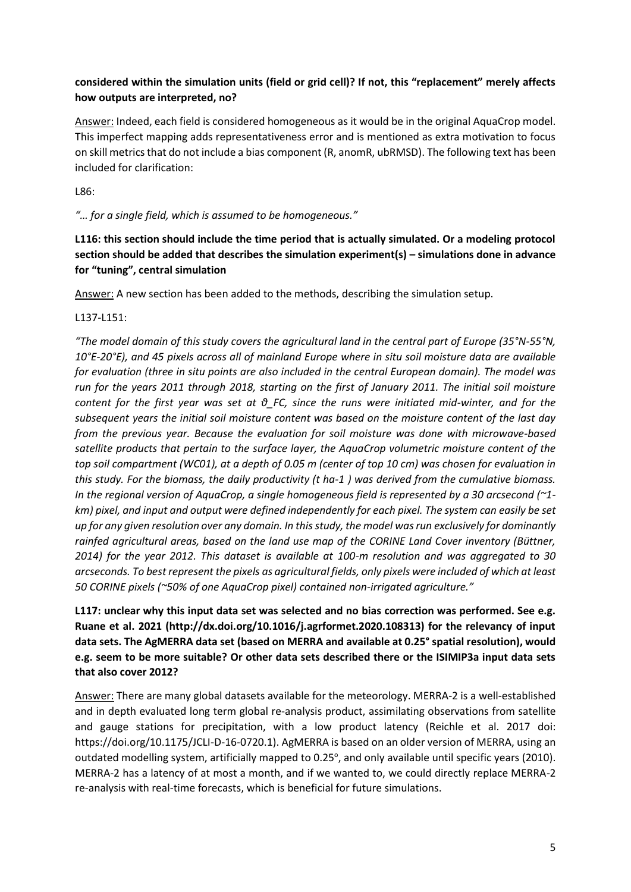# **considered within the simulation units (field or grid cell)? If not, this "replacement" merely affects how outputs are interpreted, no?**

Answer: Indeed, each field is considered homogeneous as it would be in the original AquaCrop model. This imperfect mapping adds representativeness error and is mentioned as extra motivation to focus on skill metrics that do not include a bias component (R, anomR, ubRMSD). The following text has been included for clarification:

#### L86:

## *"… for a single field, which is assumed to be homogeneous."*

**L116: this section should include the time period that is actually simulated. Or a modeling protocol section should be added that describes the simulation experiment(s) – simulations done in advance for "tuning", central simulation**

Answer: A new section has been added to the methods, describing the simulation setup.

#### L137-L151:

*"The model domain of this study covers the agricultural land in the central part of Europe (35°N-55°N, 10°E-20°E), and 45 pixels across all of mainland Europe where in situ soil moisture data are available for evaluation (three in situ points are also included in the central European domain). The model was run for the years 2011 through 2018, starting on the first of January 2011. The initial soil moisture content for the first year was set at θ\_FC, since the runs were initiated mid-winter, and for the subsequent years the initial soil moisture content was based on the moisture content of the last day from the previous year. Because the evaluation for soil moisture was done with microwave-based satellite products that pertain to the surface layer, the AquaCrop volumetric moisture content of the top soil compartment (WC01), at a depth of 0.05 m (center of top 10 cm) was chosen for evaluation in this study. For the biomass, the daily productivity (t ha-1 ) was derived from the cumulative biomass. In the regional version of AquaCrop, a single homogeneous field is represented by a 30 arcsecond (~1 km) pixel, and input and output were defined independently for each pixel. The system can easily be set up for any given resolution over any domain. In this study, the model was run exclusively for dominantly rainfed agricultural areas, based on the land use map of the CORINE Land Cover inventory (Büttner, 2014) for the year 2012. This dataset is available at 100-m resolution and was aggregated to 30 arcseconds. To best represent the pixels as agricultural fields, only pixels were included of which at least 50 CORINE pixels (~50% of one AquaCrop pixel) contained non-irrigated agriculture."*

**L117: unclear why this input data set was selected and no bias correction was performed. See e.g. Ruane et al. 2021 (http://dx.doi.org/10.1016/j.agrformet.2020.108313) for the relevancy of input data sets. The AgMERRA data set (based on MERRA and available at 0.25° spatial resolution), would e.g. seem to be more suitable? Or other data sets described there or the ISIMIP3a input data sets that also cover 2012?**

Answer: There are many global datasets available for the meteorology. MERRA-2 is a well-established and in depth evaluated long term global re-analysis product, assimilating observations from satellite and gauge stations for precipitation, with a low product latency (Reichle et al. 2017 doi: https://doi.org/10.1175/JCLI-D-16-0720.1). AgMERRA is based on an older version of MERRA, using an outdated modelling system, artificially mapped to 0.25°, and only available until specific years (2010). MERRA-2 has a latency of at most a month, and if we wanted to, we could directly replace MERRA-2 re-analysis with real-time forecasts, which is beneficial for future simulations.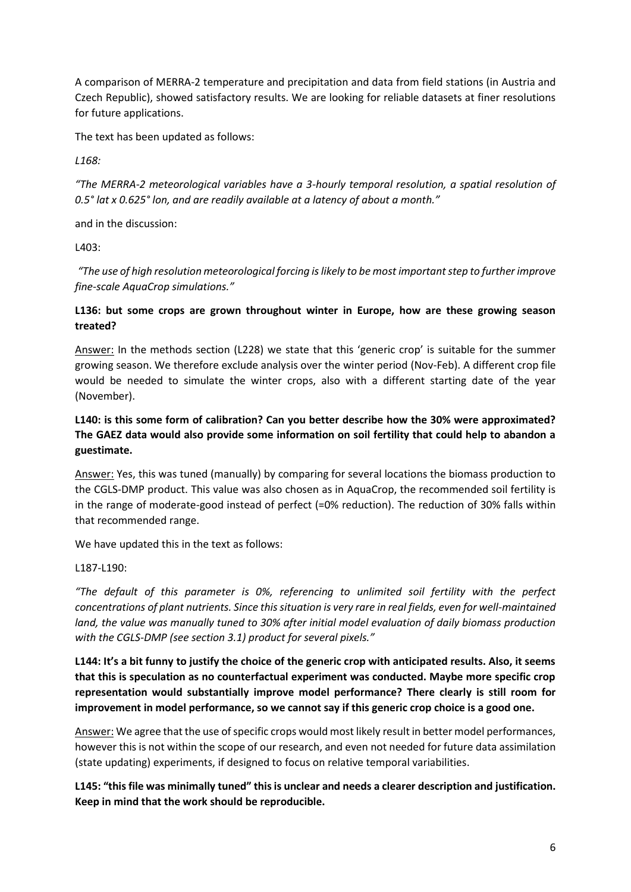A comparison of MERRA-2 temperature and precipitation and data from field stations (in Austria and Czech Republic), showed satisfactory results. We are looking for reliable datasets at finer resolutions for future applications.

The text has been updated as follows:

*L168:*

*"The MERRA-2 meteorological variables have a 3-hourly temporal resolution, a spatial resolution of 0.5° lat x 0.625° lon, and are readily available at a latency of about a month."*

and in the discussion:

L403:

*"The use of high resolution meteorological forcing is likely to be most important step to further improve fine-scale AquaCrop simulations."*

# **L136: but some crops are grown throughout winter in Europe, how are these growing season treated?**

Answer: In the methods section (L228) we state that this 'generic crop' is suitable for the summer growing season. We therefore exclude analysis over the winter period (Nov-Feb). A different crop file would be needed to simulate the winter crops, also with a different starting date of the year (November).

# **L140: is this some form of calibration? Can you better describe how the 30% were approximated? The GAEZ data would also provide some information on soil fertility that could help to abandon a guestimate.**

Answer: Yes, this was tuned (manually) by comparing for several locations the biomass production to the CGLS-DMP product. This value was also chosen as in AquaCrop, the recommended soil fertility is in the range of moderate-good instead of perfect (=0% reduction). The reduction of 30% falls within that recommended range.

We have updated this in the text as follows:

L187-L190:

*"The default of this parameter is 0%, referencing to unlimited soil fertility with the perfect concentrations of plant nutrients. Since this situation is very rare in real fields, even for well-maintained land, the value was manually tuned to 30% after initial model evaluation of daily biomass production with the CGLS-DMP (see section 3.1) product for several pixels."*

**L144: It's a bit funny to justify the choice of the generic crop with anticipated results. Also, it seems that this is speculation as no counterfactual experiment was conducted. Maybe more specific crop representation would substantially improve model performance? There clearly is still room for improvement in model performance, so we cannot say if this generic crop choice is a good one.**

Answer: We agree that the use of specific crops would most likely result in better model performances, however this is not within the scope of our research, and even not needed for future data assimilation (state updating) experiments, if designed to focus on relative temporal variabilities.

**L145: "this file was minimally tuned" this is unclear and needs a clearer description and justification. Keep in mind that the work should be reproducible.**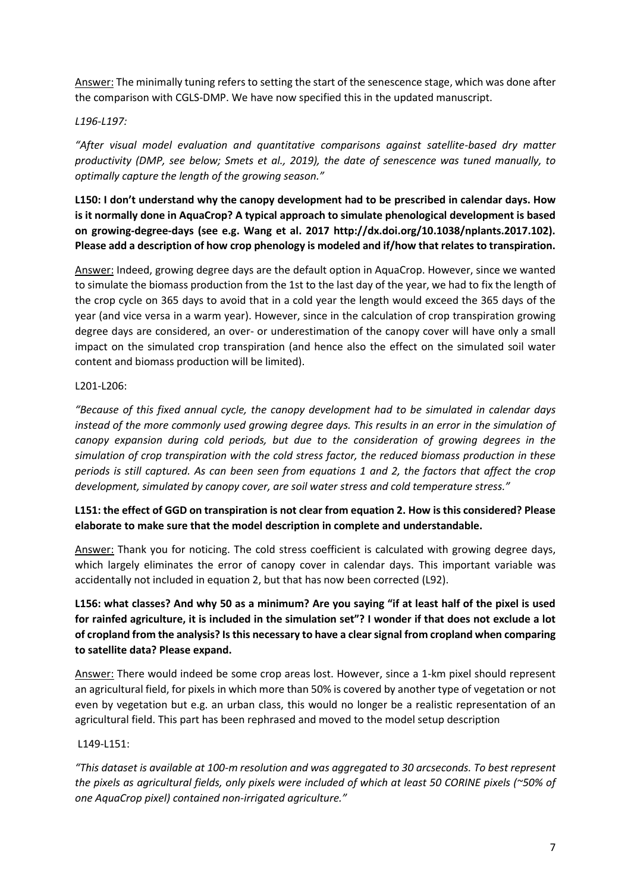Answer: The minimally tuning refers to setting the start of the senescence stage, which was done after the comparison with CGLS-DMP. We have now specified this in the updated manuscript.

#### *L196-L197:*

*"After visual model evaluation and quantitative comparisons against satellite-based dry matter productivity (DMP, see below; Smets et al., 2019), the date of senescence was tuned manually, to optimally capture the length of the growing season."*

**L150: I don't understand why the canopy development had to be prescribed in calendar days. How is it normally done in AquaCrop? A typical approach to simulate phenological development is based on growing-degree-days (see e.g. Wang et al. 2017 http://dx.doi.org/10.1038/nplants.2017.102). Please add a description of how crop phenology is modeled and if/how that relates to transpiration.**

Answer: Indeed, growing degree days are the default option in AquaCrop. However, since we wanted to simulate the biomass production from the 1st to the last day of the year, we had to fix the length of the crop cycle on 365 days to avoid that in a cold year the length would exceed the 365 days of the year (and vice versa in a warm year). However, since in the calculation of crop transpiration growing degree days are considered, an over- or underestimation of the canopy cover will have only a small impact on the simulated crop transpiration (and hence also the effect on the simulated soil water content and biomass production will be limited).

#### L201-L206:

*"Because of this fixed annual cycle, the canopy development had to be simulated in calendar days instead of the more commonly used growing degree days. This results in an error in the simulation of canopy expansion during cold periods, but due to the consideration of growing degrees in the simulation of crop transpiration with the cold stress factor, the reduced biomass production in these periods is still captured. As can been seen from equations 1 and 2, the factors that affect the crop development, simulated by canopy cover, are soil water stress and cold temperature stress."*

## **L151: the effect of GGD on transpiration is not clear from equation 2. How is this considered? Please elaborate to make sure that the model description in complete and understandable.**

Answer: Thank you for noticing. The cold stress coefficient is calculated with growing degree days, which largely eliminates the error of canopy cover in calendar days. This important variable was accidentally not included in equation 2, but that has now been corrected (L92).

**L156: what classes? And why 50 as a minimum? Are you saying "if at least half of the pixel is used for rainfed agriculture, it is included in the simulation set"? I wonder if that does not exclude a lot of cropland from the analysis? Is this necessary to have a clear signal from cropland when comparing to satellite data? Please expand.**

Answer: There would indeed be some crop areas lost. However, since a 1-km pixel should represent an agricultural field, for pixels in which more than 50% is covered by another type of vegetation or not even by vegetation but e.g. an urban class, this would no longer be a realistic representation of an agricultural field. This part has been rephrased and moved to the model setup description

## L149-L151:

*"This dataset is available at 100-m resolution and was aggregated to 30 arcseconds. To best represent the pixels as agricultural fields, only pixels were included of which at least 50 CORINE pixels (~50% of one AquaCrop pixel) contained non-irrigated agriculture."*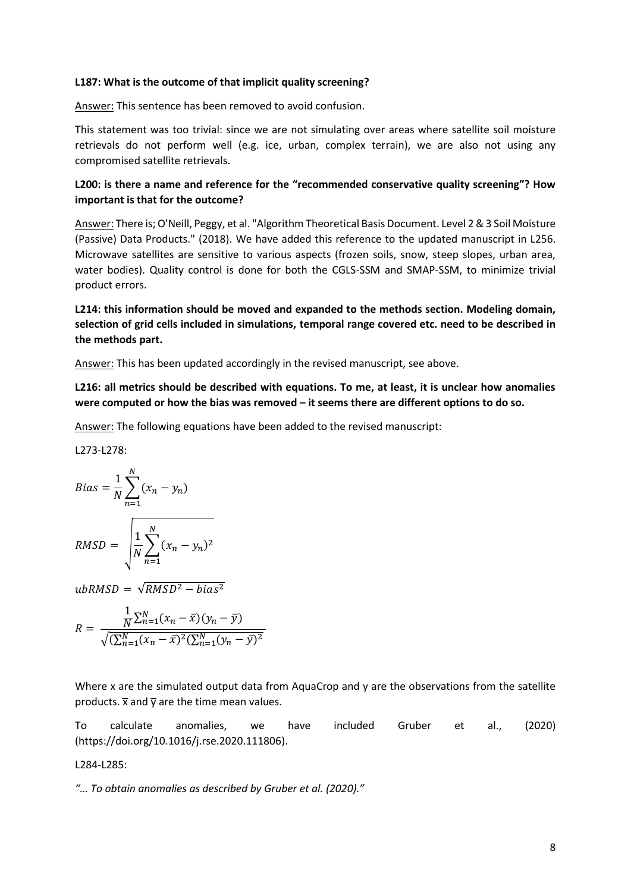#### **L187: What is the outcome of that implicit quality screening?**

Answer: This sentence has been removed to avoid confusion.

This statement was too trivial: since we are not simulating over areas where satellite soil moisture retrievals do not perform well (e.g. ice, urban, complex terrain), we are also not using any compromised satellite retrievals.

## **L200: is there a name and reference for the "recommended conservative quality screening"? How important is that for the outcome?**

Answer: There is; O'Neill, Peggy, et al. "Algorithm Theoretical Basis Document. Level 2 & 3 Soil Moisture (Passive) Data Products." (2018). We have added this reference to the updated manuscript in L256. Microwave satellites are sensitive to various aspects (frozen soils, snow, steep slopes, urban area, water bodies). Quality control is done for both the CGLS-SSM and SMAP-SSM, to minimize trivial product errors.

**L214: this information should be moved and expanded to the methods section. Modeling domain, selection of grid cells included in simulations, temporal range covered etc. need to be described in the methods part.**

Answer: This has been updated accordingly in the revised manuscript, see above.

**L216: all metrics should be described with equations. To me, at least, it is unclear how anomalies were computed or how the bias was removed – it seems there are different options to do so.**

Answer: The following equations have been added to the revised manuscript:

L273-L278:

$$
Bias = \frac{1}{N} \sum_{n=1}^{N} (x_n - y_n)
$$

 $\mathbb{R}^2$ 

$$
RMSD = \sqrt{\frac{1}{N} \sum_{n=1}^{N} (x_n - y_n)^2}
$$

 $ubRMSD = \sqrt{RMSD^2 - bias^2}$ 

$$
R = \frac{\frac{1}{N} \sum_{n=1}^{N} (x_n - \bar{x})(y_n - \bar{y})}{\sqrt{(\sum_{n=1}^{N} (x_n - \bar{x})^2 (\sum_{n=1}^{N} (y_n - \bar{y})^2)}}
$$

Where x are the simulated output data from AquaCrop and y are the observations from the satellite products.  $\bar{x}$  and  $\bar{v}$  are the time mean values.

To calculate anomalies, we have included Gruber et al., (2020) (https://doi.org/10.1016/j.rse.2020.111806).

L284-L285:

*"… To obtain anomalies as described by Gruber et al. (2020)."*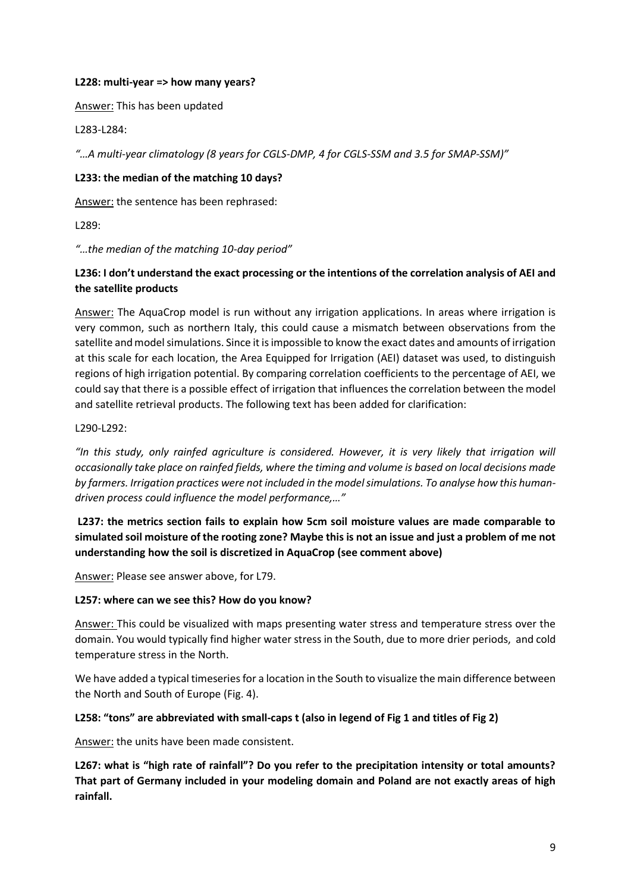#### **L228: multi-year => how many years?**

Answer: This has been updated

L283-L284:

*"…A multi-year climatology (8 years for CGLS-DMP, 4 for CGLS-SSM and 3.5 for SMAP-SSM)"*

#### **L233: the median of the matching 10 days?**

Answer: the sentence has been rephrased:

L289:

*"…the median of the matching 10-day period"*

# **L236: I don't understand the exact processing or the intentions of the correlation analysis of AEI and the satellite products**

Answer: The AquaCrop model is run without any irrigation applications. In areas where irrigation is very common, such as northern Italy, this could cause a mismatch between observations from the satellite and model simulations. Since it is impossible to know the exact dates and amounts of irrigation at this scale for each location, the Area Equipped for Irrigation (AEI) dataset was used, to distinguish regions of high irrigation potential. By comparing correlation coefficients to the percentage of AEI, we could say that there is a possible effect of irrigation that influences the correlation between the model and satellite retrieval products. The following text has been added for clarification:

#### L290-L292:

*"In this study, only rainfed agriculture is considered. However, it is very likely that irrigation will occasionally take place on rainfed fields, where the timing and volume is based on local decisions made by farmers. Irrigation practices were not included in the model simulations. To analyse how this humandriven process could influence the model performance,…"*

# **L237: the metrics section fails to explain how 5cm soil moisture values are made comparable to simulated soil moisture of the rooting zone? Maybe this is not an issue and just a problem of me not understanding how the soil is discretized in AquaCrop (see comment above)**

Answer: Please see answer above, for L79.

## **L257: where can we see this? How do you know?**

Answer: This could be visualized with maps presenting water stress and temperature stress over the domain. You would typically find higher water stress in the South, due to more drier periods, and cold temperature stress in the North.

We have added a typical timeseries for a location in the South to visualize the main difference between the North and South of Europe (Fig. 4).

## **L258: "tons" are abbreviated with small-caps t (also in legend of Fig 1 and titles of Fig 2)**

Answer: the units have been made consistent.

**L267: what is "high rate of rainfall"? Do you refer to the precipitation intensity or total amounts? That part of Germany included in your modeling domain and Poland are not exactly areas of high rainfall.**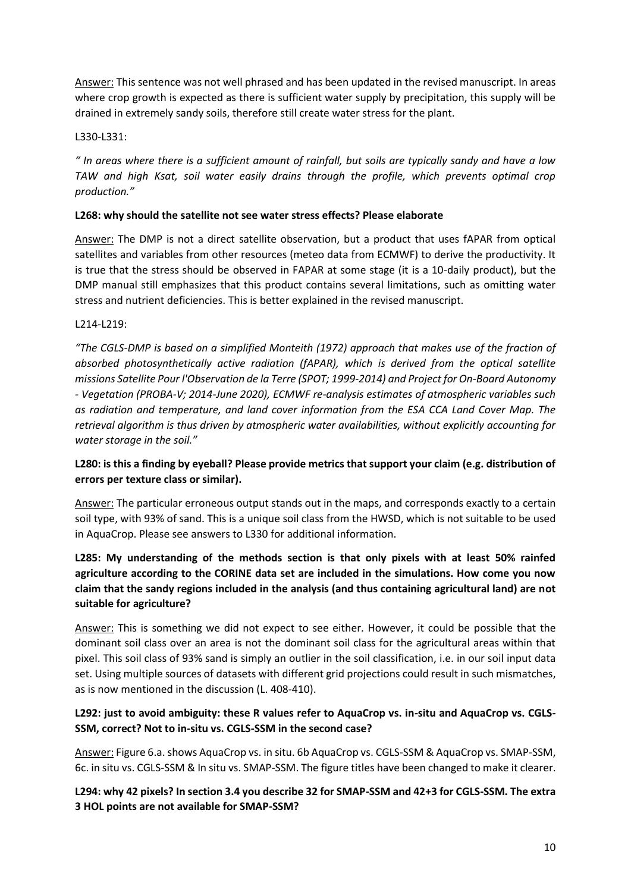Answer: This sentence was not well phrased and has been updated in the revised manuscript. In areas where crop growth is expected as there is sufficient water supply by precipitation, this supply will be drained in extremely sandy soils, therefore still create water stress for the plant.

## L330-L331:

*" In areas where there is a sufficient amount of rainfall, but soils are typically sandy and have a low TAW and high Ksat, soil water easily drains through the profile, which prevents optimal crop production."*

## **L268: why should the satellite not see water stress effects? Please elaborate**

Answer: The DMP is not a direct satellite observation, but a product that uses fAPAR from optical satellites and variables from other resources (meteo data from ECMWF) to derive the productivity. It is true that the stress should be observed in FAPAR at some stage (it is a 10-daily product), but the DMP manual still emphasizes that this product contains several limitations, such as omitting water stress and nutrient deficiencies. This is better explained in the revised manuscript.

## L214-L219:

*"The CGLS-DMP is based on a simplified Monteith (1972) approach that makes use of the fraction of absorbed photosynthetically active radiation (fAPAR), which is derived from the optical satellite missions Satellite Pour l'Observation de la Terre (SPOT; 1999-2014) and Project for On-Board Autonomy - Vegetation (PROBA-V; 2014-June 2020), ECMWF re-analysis estimates of atmospheric variables such as radiation and temperature, and land cover information from the ESA CCA Land Cover Map. The retrieval algorithm is thus driven by atmospheric water availabilities, without explicitly accounting for water storage in the soil."*

# **L280: is this a finding by eyeball? Please provide metrics that support your claim (e.g. distribution of errors per texture class or similar).**

Answer: The particular erroneous output stands out in the maps, and corresponds exactly to a certain soil type, with 93% of sand. This is a unique soil class from the HWSD, which is not suitable to be used in AquaCrop. Please see answers to L330 for additional information.

# **L285: My understanding of the methods section is that only pixels with at least 50% rainfed agriculture according to the CORINE data set are included in the simulations. How come you now claim that the sandy regions included in the analysis (and thus containing agricultural land) are not suitable for agriculture?**

Answer: This is something we did not expect to see either. However, it could be possible that the dominant soil class over an area is not the dominant soil class for the agricultural areas within that pixel. This soil class of 93% sand is simply an outlier in the soil classification, i.e. in our soil input data set. Using multiple sources of datasets with different grid projections could result in such mismatches, as is now mentioned in the discussion (L. 408-410).

# **L292: just to avoid ambiguity: these R values refer to AquaCrop vs. in-situ and AquaCrop vs. CGLS-SSM, correct? Not to in-situ vs. CGLS-SSM in the second case?**

Answer: Figure 6.a. shows AquaCrop vs. in situ. 6b AquaCrop vs. CGLS-SSM & AquaCrop vs. SMAP-SSM, 6c. in situ vs. CGLS-SSM & In situ vs. SMAP-SSM. The figure titles have been changed to make it clearer.

**L294: why 42 pixels? In section 3.4 you describe 32 for SMAP-SSM and 42+3 for CGLS-SSM. The extra 3 HOL points are not available for SMAP-SSM?**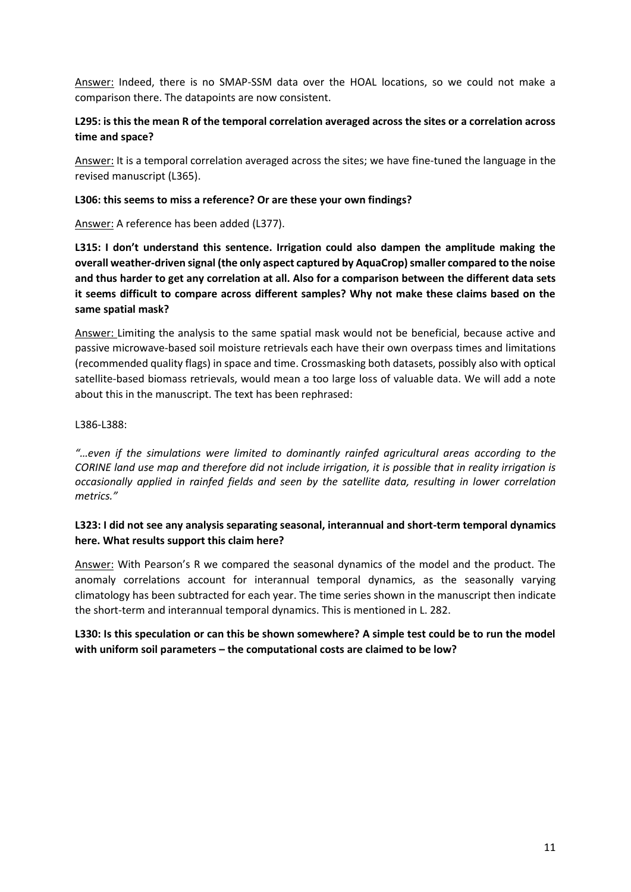Answer: Indeed, there is no SMAP-SSM data over the HOAL locations, so we could not make a comparison there. The datapoints are now consistent.

# **L295: is this the mean R of the temporal correlation averaged across the sites or a correlation across time and space?**

Answer: It is a temporal correlation averaged across the sites; we have fine-tuned the language in the revised manuscript (L365).

#### **L306: this seems to miss a reference? Or are these your own findings?**

Answer: A reference has been added (L377).

**L315: I don't understand this sentence. Irrigation could also dampen the amplitude making the overall weather-driven signal (the only aspect captured by AquaCrop) smaller compared to the noise and thus harder to get any correlation at all. Also for a comparison between the different data sets it seems difficult to compare across different samples? Why not make these claims based on the same spatial mask?**

Answer: Limiting the analysis to the same spatial mask would not be beneficial, because active and passive microwave-based soil moisture retrievals each have their own overpass times and limitations (recommended quality flags) in space and time. Crossmasking both datasets, possibly also with optical satellite-based biomass retrievals, would mean a too large loss of valuable data. We will add a note about this in the manuscript. The text has been rephrased:

L386-L388:

*"…even if the simulations were limited to dominantly rainfed agricultural areas according to the CORINE land use map and therefore did not include irrigation, it is possible that in reality irrigation is occasionally applied in rainfed fields and seen by the satellite data, resulting in lower correlation metrics."*

## **L323: I did not see any analysis separating seasonal, interannual and short-term temporal dynamics here. What results support this claim here?**

Answer: With Pearson's R we compared the seasonal dynamics of the model and the product. The anomaly correlations account for interannual temporal dynamics, as the seasonally varying climatology has been subtracted for each year. The time series shown in the manuscript then indicate the short-term and interannual temporal dynamics. This is mentioned in L. 282.

# **L330: Is this speculation or can this be shown somewhere? A simple test could be to run the model with uniform soil parameters – the computational costs are claimed to be low?**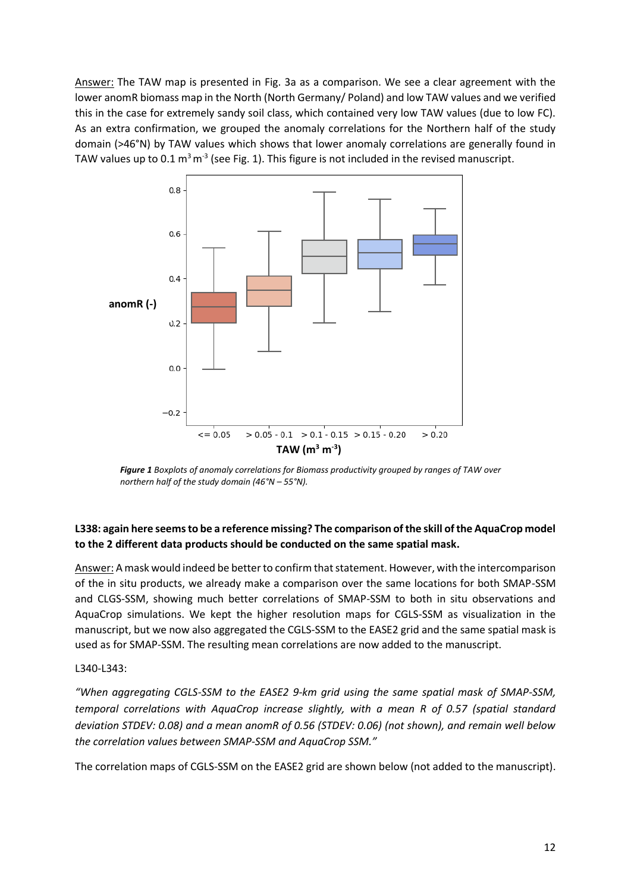Answer: The TAW map is presented in Fig. 3a as a comparison. We see a clear agreement with the lower anomR biomass map in the North (North Germany/ Poland) and low TAW values and we verified this in the case for extremely sandy soil class, which contained very low TAW values (due to low FC). As an extra confirmation, we grouped the anomaly correlations for the Northern half of the study domain (>46°N) by TAW values which shows that lower anomaly correlations are generally found in TAW values up to 0.1  $m^3m^3$  (see Fig. 1). This figure is not included in the revised manuscript.



*Figure 1 Boxplots of anomaly correlations for Biomass productivity grouped by ranges of TAW over northern half of the study domain (46°N – 55°N).*

# **L338: again here seems to be a reference missing? The comparison of the skill of the AquaCrop model to the 2 different data products should be conducted on the same spatial mask.**

Answer: A mask would indeed be better to confirm that statement. However, with the intercomparison of the in situ products, we already make a comparison over the same locations for both SMAP-SSM and CLGS-SSM, showing much better correlations of SMAP-SSM to both in situ observations and AquaCrop simulations. We kept the higher resolution maps for CGLS-SSM as visualization in the manuscript, but we now also aggregated the CGLS-SSM to the EASE2 grid and the same spatial mask is used as for SMAP-SSM. The resulting mean correlations are now added to the manuscript.

## L340-L343:

*"When aggregating CGLS-SSM to the EASE2 9-km grid using the same spatial mask of SMAP-SSM, temporal correlations with AquaCrop increase slightly, with a mean R of 0.57 (spatial standard deviation STDEV: 0.08) and a mean anomR of 0.56 (STDEV: 0.06) (not shown), and remain well below the correlation values between SMAP-SSM and AquaCrop SSM."*

The correlation maps of CGLS-SSM on the EASE2 grid are shown below (not added to the manuscript).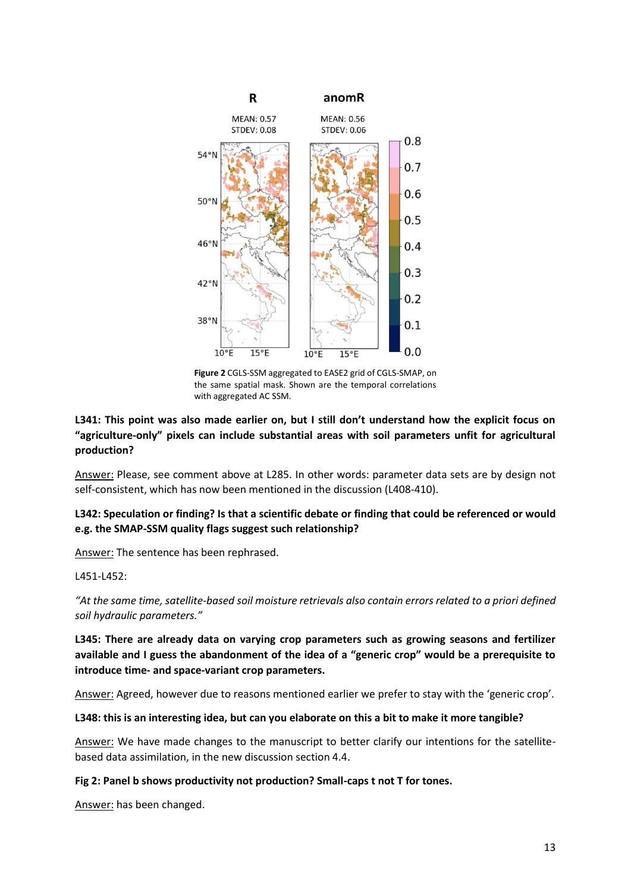

**Figure 2** CGLS-SSM aggregated to EASE2 grid of CGLS-SMAP, on the same spatial mask. Shown are the temporal correlations with aggregated AC SSM.

## **L341: This point was also made earlier on, but I still don't understand how the explicit focus on "agriculture-only" pixels can include substantial areas with soil parameters unfit for agricultural production?**

Answer: Please, see comment above at L285. In other words: parameter data sets are by design not self-consistent, which has now been mentioned in the discussion (L408-410).

## **L342: Speculation or finding? Is that a scientific debate or finding that could be referenced or would e.g. the SMAP-SSM quality flags suggest such relationship?**

Answer: The sentence has been rephrased.

#### L451-L452:

*"At the same time, satellite-based soil moisture retrievals also contain errors related to a priori defined soil hydraulic parameters."*

**L345: There are already data on varying crop parameters such as growing seasons and fertilizer available and I guess the abandonment of the idea of a "generic crop" would be a prerequisite to introduce time- and space-variant crop parameters.**

Answer: Agreed, however due to reasons mentioned earlier we prefer to stay with the 'generic crop'.

#### **L348: this is an interesting idea, but can you elaborate on this a bit to make it more tangible?**

Answer: We have made changes to the manuscript to better clarify our intentions for the satellitebased data assimilation, in the new discussion section 4.4.

#### **Fig 2: Panel b shows productivity not production? Small-caps t not T for tones.**

Answer: has been changed.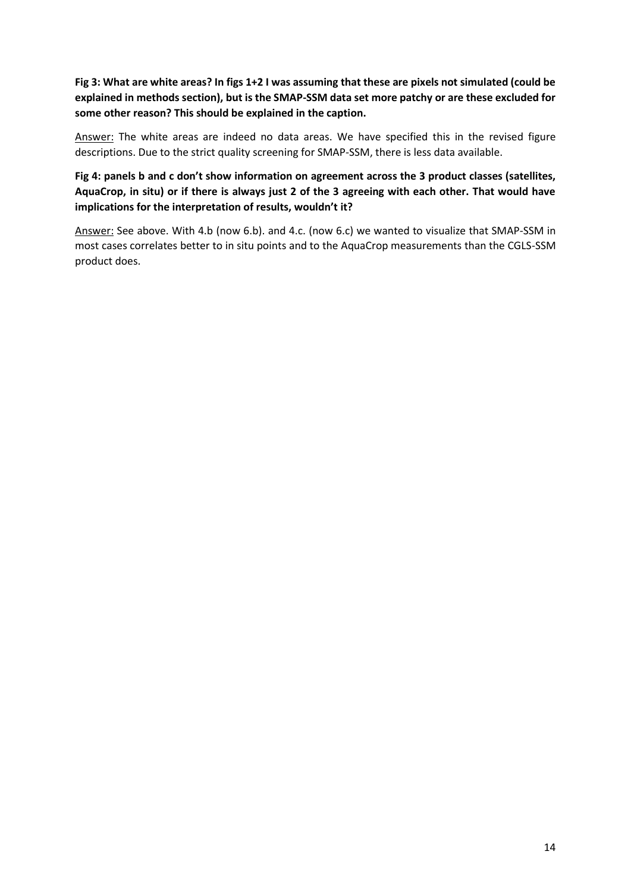**Fig 3: What are white areas? In figs 1+2 I was assuming that these are pixels not simulated (could be explained in methods section), but is the SMAP-SSM data set more patchy or are these excluded for some other reason? This should be explained in the caption.**

Answer: The white areas are indeed no data areas. We have specified this in the revised figure descriptions. Due to the strict quality screening for SMAP-SSM, there is less data available.

**Fig 4: panels b and c don't show information on agreement across the 3 product classes (satellites, AquaCrop, in situ) or if there is always just 2 of the 3 agreeing with each other. That would have implications for the interpretation of results, wouldn't it?**

Answer: See above. With 4.b (now 6.b). and 4.c. (now 6.c) we wanted to visualize that SMAP-SSM in most cases correlates better to in situ points and to the AquaCrop measurements than the CGLS-SSM product does.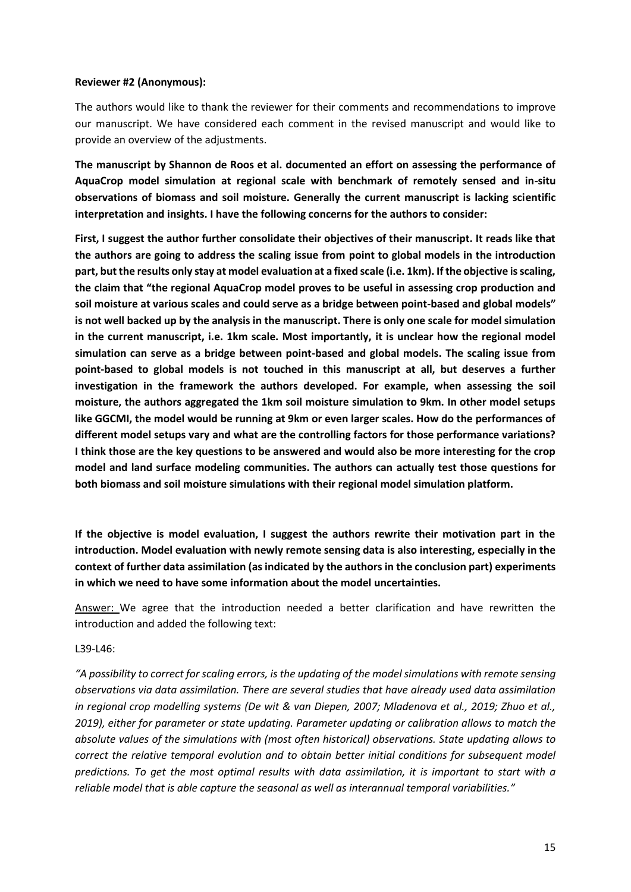#### **Reviewer #2 (Anonymous):**

The authors would like to thank the reviewer for their comments and recommendations to improve our manuscript. We have considered each comment in the revised manuscript and would like to provide an overview of the adjustments.

**The manuscript by Shannon de Roos et al. documented an effort on assessing the performance of AquaCrop model simulation at regional scale with benchmark of remotely sensed and in-situ observations of biomass and soil moisture. Generally the current manuscript is lacking scientific interpretation and insights. I have the following concerns for the authors to consider:**

**First, I suggest the author further consolidate their objectives of their manuscript. It reads like that the authors are going to address the scaling issue from point to global models in the introduction part, but the results only stay at model evaluation at a fixed scale (i.e. 1km). If the objective is scaling, the claim that "the regional AquaCrop model proves to be useful in assessing crop production and soil moisture at various scales and could serve as a bridge between point-based and global models" is not well backed up by the analysis in the manuscript. There is only one scale for model simulation in the current manuscript, i.e. 1km scale. Most importantly, it is unclear how the regional model simulation can serve as a bridge between point-based and global models. The scaling issue from point-based to global models is not touched in this manuscript at all, but deserves a further investigation in the framework the authors developed. For example, when assessing the soil moisture, the authors aggregated the 1km soil moisture simulation to 9km. In other model setups like GGCMI, the model would be running at 9km or even larger scales. How do the performances of different model setups vary and what are the controlling factors for those performance variations? I think those are the key questions to be answered and would also be more interesting for the crop model and land surface modeling communities. The authors can actually test those questions for both biomass and soil moisture simulations with their regional model simulation platform.**

**If the objective is model evaluation, I suggest the authors rewrite their motivation part in the introduction. Model evaluation with newly remote sensing data is also interesting, especially in the context of further data assimilation (as indicated by the authors in the conclusion part) experiments in which we need to have some information about the model uncertainties.**

Answer: We agree that the introduction needed a better clarification and have rewritten the introduction and added the following text:

L39-L46:

*"A possibility to correct for scaling errors, is the updating of the model simulations with remote sensing observations via data assimilation. There are several studies that have already used data assimilation in regional crop modelling systems (De wit & van Diepen, 2007; Mladenova et al., 2019; Zhuo et al., 2019), either for parameter or state updating. Parameter updating or calibration allows to match the absolute values of the simulations with (most often historical) observations. State updating allows to correct the relative temporal evolution and to obtain better initial conditions for subsequent model predictions. To get the most optimal results with data assimilation, it is important to start with a reliable model that is able capture the seasonal as well as interannual temporal variabilities."*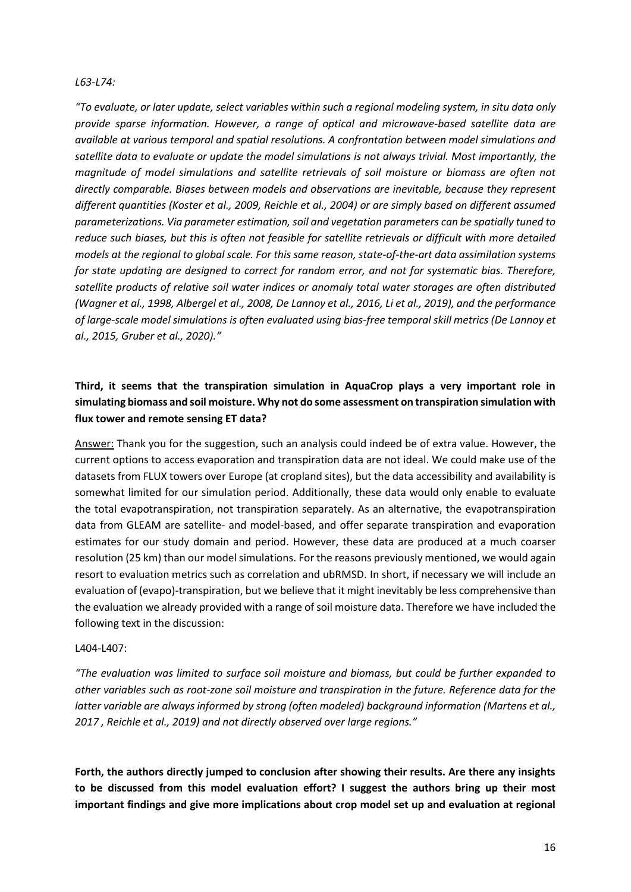#### *L63-L74:*

*"To evaluate, or later update, select variables within such a regional modeling system, in situ data only provide sparse information. However, a range of optical and microwave-based satellite data are available at various temporal and spatial resolutions. A confrontation between model simulations and satellite data to evaluate or update the model simulations is not always trivial. Most importantly, the magnitude of model simulations and satellite retrievals of soil moisture or biomass are often not directly comparable. Biases between models and observations are inevitable, because they represent different quantities (Koster et al., 2009, Reichle et al., 2004) or are simply based on different assumed parameterizations. Via parameter estimation, soil and vegetation parameters can be spatially tuned to reduce such biases, but this is often not feasible for satellite retrievals or difficult with more detailed models at the regional to global scale. For this same reason, state-of-the-art data assimilation systems for state updating are designed to correct for random error, and not for systematic bias. Therefore, satellite products of relative soil water indices or anomaly total water storages are often distributed (Wagner et al., 1998, Albergel et al., 2008, De Lannoy et al., 2016, Li et al., 2019), and the performance of large-scale model simulations is often evaluated using bias-free temporal skill metrics (De Lannoy et al., 2015, Gruber et al., 2020)."*

# **Third, it seems that the transpiration simulation in AquaCrop plays a very important role in simulating biomass and soil moisture. Why not do some assessment on transpiration simulation with flux tower and remote sensing ET data?**

Answer: Thank you for the suggestion, such an analysis could indeed be of extra value. However, the current options to access evaporation and transpiration data are not ideal. We could make use of the datasets from FLUX towers over Europe (at cropland sites), but the data accessibility and availability is somewhat limited for our simulation period. Additionally, these data would only enable to evaluate the total evapotranspiration, not transpiration separately. As an alternative, the evapotranspiration data from GLEAM are satellite- and model-based, and offer separate transpiration and evaporation estimates for our study domain and period. However, these data are produced at a much coarser resolution (25 km) than our model simulations. For the reasons previously mentioned, we would again resort to evaluation metrics such as correlation and ubRMSD. In short, if necessary we will include an evaluation of (evapo)-transpiration, but we believe that it might inevitably be less comprehensive than the evaluation we already provided with a range of soil moisture data. Therefore we have included the following text in the discussion:

#### L404-L407:

*"The evaluation was limited to surface soil moisture and biomass, but could be further expanded to other variables such as root-zone soil moisture and transpiration in the future. Reference data for the latter variable are always informed by strong (often modeled) background information (Martens et al., 2017 , Reichle et al., 2019) and not directly observed over large regions."*

**Forth, the authors directly jumped to conclusion after showing their results. Are there any insights to be discussed from this model evaluation effort? I suggest the authors bring up their most important findings and give more implications about crop model set up and evaluation at regional**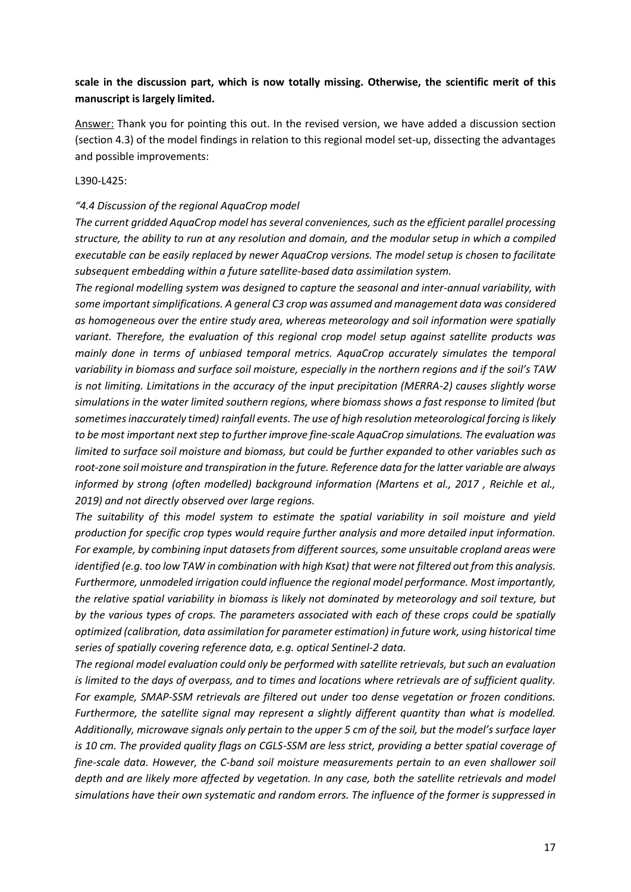# **scale in the discussion part, which is now totally missing. Otherwise, the scientific merit of this manuscript is largely limited.**

Answer: Thank you for pointing this out. In the revised version, we have added a discussion section (section 4.3) of the model findings in relation to this regional model set-up, dissecting the advantages and possible improvements:

L390-L425:

#### *"4.4 Discussion of the regional AquaCrop model*

*The current gridded AquaCrop model has several conveniences, such as the efficient parallel processing structure, the ability to run at any resolution and domain, and the modular setup in which a compiled executable can be easily replaced by newer AquaCrop versions. The model setup is chosen to facilitate subsequent embedding within a future satellite-based data assimilation system.* 

*The regional modelling system was designed to capture the seasonal and inter-annual variability, with some important simplifications. A general C3 crop was assumed and management data was considered as homogeneous over the entire study area, whereas meteorology and soil information were spatially variant. Therefore, the evaluation of this regional crop model setup against satellite products was mainly done in terms of unbiased temporal metrics. AquaCrop accurately simulates the temporal variability in biomass and surface soil moisture, especially in the northern regions and if the soil's TAW is not limiting. Limitations in the accuracy of the input precipitation (MERRA-2) causes slightly worse simulations in the water limited southern regions, where biomass shows a fast response to limited (but sometimes inaccurately timed) rainfall events. The use of high resolution meteorological forcing is likely to be most important next step to further improve fine-scale AquaCrop simulations. The evaluation was limited to surface soil moisture and biomass, but could be further expanded to other variables such as root-zone soil moisture and transpiration in the future. Reference data for the latter variable are always informed by strong (often modelled) background information (Martens et al., 2017 , Reichle et al., 2019) and not directly observed over large regions.*

*The suitability of this model system to estimate the spatial variability in soil moisture and yield production for specific crop types would require further analysis and more detailed input information. For example, by combining input datasets from different sources, some unsuitable cropland areas were identified (e.g. too low TAW in combination with high Ksat) that were not filtered out from this analysis. Furthermore, unmodeled irrigation could influence the regional model performance. Most importantly, the relative spatial variability in biomass is likely not dominated by meteorology and soil texture, but by the various types of crops. The parameters associated with each of these crops could be spatially optimized (calibration, data assimilation for parameter estimation) in future work, using historical time series of spatially covering reference data, e.g. optical Sentinel-2 data.*

*The regional model evaluation could only be performed with satellite retrievals, but such an evaluation is limited to the days of overpass, and to times and locations where retrievals are of sufficient quality. For example, SMAP-SSM retrievals are filtered out under too dense vegetation or frozen conditions. Furthermore, the satellite signal may represent a slightly different quantity than what is modelled. Additionally, microwave signals only pertain to the upper 5 cm of the soil, but the model's surface layer is 10 cm. The provided quality flags on CGLS-SSM are less strict, providing a better spatial coverage of fine-scale data. However, the C-band soil moisture measurements pertain to an even shallower soil depth and are likely more affected by vegetation. In any case, both the satellite retrievals and model simulations have their own systematic and random errors. The influence of the former is suppressed in*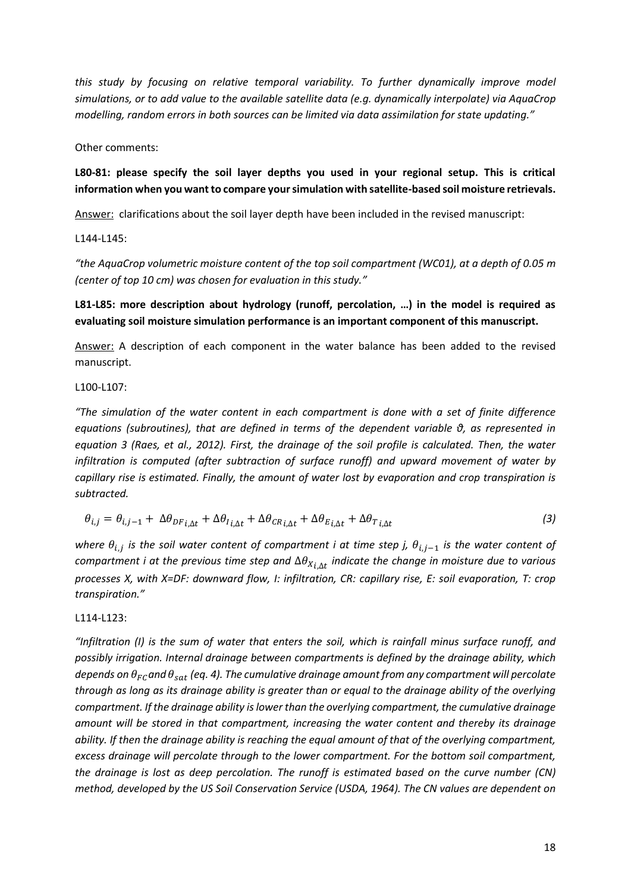*this study by focusing on relative temporal variability. To further dynamically improve model simulations, or to add value to the available satellite data (e.g. dynamically interpolate) via AquaCrop modelling, random errors in both sources can be limited via data assimilation for state updating."*

Other comments:

**L80-81: please specify the soil layer depths you used in your regional setup. This is critical information when you want to compare your simulation with satellite-based soil moisture retrievals.**

Answer: clarifications about the soil layer depth have been included in the revised manuscript:

L144-L145:

*"the AquaCrop volumetric moisture content of the top soil compartment (WC01), at a depth of 0.05 m (center of top 10 cm) was chosen for evaluation in this study."*

**L81-L85: more description about hydrology (runoff, percolation, …) in the model is required as evaluating soil moisture simulation performance is an important component of this manuscript.**

Answer: A description of each component in the water balance has been added to the revised manuscript.

L100-L107:

*"The simulation of the water content in each compartment is done with a set of finite difference equations (subroutines), that are defined in terms of the dependent variable θ, as represented in equation 3 (Raes, et al., 2012). First, the drainage of the soil profile is calculated. Then, the water infiltration is computed (after subtraction of surface runoff) and upward movement of water by capillary rise is estimated. Finally, the amount of water lost by evaporation and crop transpiration is subtracted.* 

$$
\theta_{i,j} = \theta_{i,j-1} + \Delta\theta_{DF_{i,\Delta t}} + \Delta\theta_{I_{i,\Delta t}} + \Delta\theta_{CR_{i,\Delta t}} + \Delta\theta_{E_{i,\Delta t}} + \Delta\theta_{T_{i,\Delta t}}
$$
\n(3)

 $w$ here  $\theta_{i,j}$  is the soil water content of compartment i at time step j,  $\theta_{i,j-1}$  is the water content of  $\epsilon$ ompartment i at the previous time step and  $\Delta\theta_{X_{i,\Delta t}}$  indicate the change in moisture due to various *processes X, with X=DF: downward flow, I: infiltration, CR: capillary rise, E: soil evaporation, T: crop transpiration."*

L114-L123:

*"Infiltration (I) is the sum of water that enters the soil, which is rainfall minus surface runoff, and possibly irrigation. Internal drainage between compartments is defined by the drainage ability, which depends on*  $\theta_{FC}$  *and*  $\theta_{sat}$  *(eq. 4). The cumulative drainage amount from any compartment will percolate through as long as its drainage ability is greater than or equal to the drainage ability of the overlying compartment. If the drainage ability is lower than the overlying compartment, the cumulative drainage amount will be stored in that compartment, increasing the water content and thereby its drainage ability. If then the drainage ability is reaching the equal amount of that of the overlying compartment, excess drainage will percolate through to the lower compartment. For the bottom soil compartment, the drainage is lost as deep percolation. The runoff is estimated based on the curve number (CN) method, developed by the US Soil Conservation Service (USDA, 1964). The CN values are dependent on*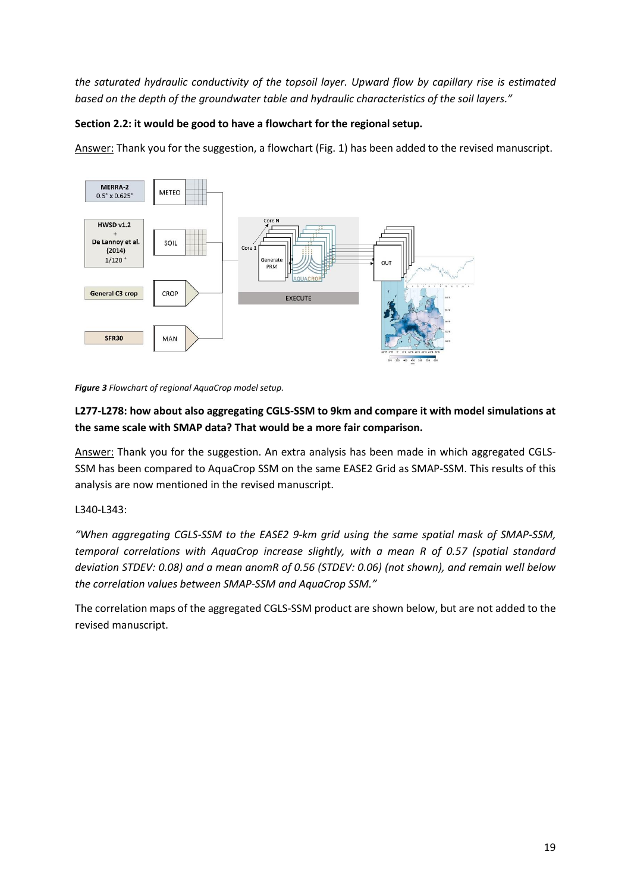*the saturated hydraulic conductivity of the topsoil layer. Upward flow by capillary rise is estimated based on the depth of the groundwater table and hydraulic characteristics of the soil layers."*

# **Section 2.2: it would be good to have a flowchart for the regional setup.**

Answer: Thank you for the suggestion, a flowchart (Fig. 1) has been added to the revised manuscript.



*Figure 3 Flowchart of regional AquaCrop model setup.* 

# **L277-L278: how about also aggregating CGLS-SSM to 9km and compare it with model simulations at the same scale with SMAP data? That would be a more fair comparison.**

Answer: Thank you for the suggestion. An extra analysis has been made in which aggregated CGLS-SSM has been compared to AquaCrop SSM on the same EASE2 Grid as SMAP-SSM. This results of this analysis are now mentioned in the revised manuscript.

## L340-L343:

*"When aggregating CGLS-SSM to the EASE2 9-km grid using the same spatial mask of SMAP-SSM, temporal correlations with AquaCrop increase slightly, with a mean R of 0.57 (spatial standard deviation STDEV: 0.08) and a mean anomR of 0.56 (STDEV: 0.06) (not shown), and remain well below the correlation values between SMAP-SSM and AquaCrop SSM."*

The correlation maps of the aggregated CGLS-SSM product are shown below, but are not added to the revised manuscript.